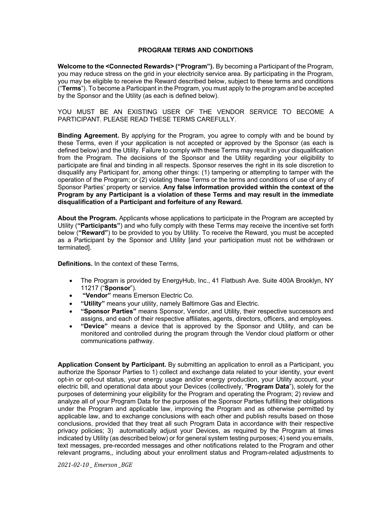## **PROGRAM TERMS AND CONDITIONS**

**Welcome to the <Connected Rewards> ("Program").** By becoming a Participant of the Program, you may reduce stress on the grid in your electricity service area. By participating in the Program, you may be eligible to receive the Reward described below, subject to these terms and conditions ("**Terms**"). To become a Participant in the Program, you must apply to the program and be accepted by the Sponsor and the Utility (as each is defined below).

YOU MUST BE AN EXISTING USER OF THE VENDOR SERVICE TO BECOME A PARTICIPANT. PLEASE READ THESE TERMS CAREFULLY.

**Binding Agreement.** By applying for the Program, you agree to comply with and be bound by these Terms, even if your application is not accepted or approved by the Sponsor (as each is defined below) and the Utility. Failure to comply with these Terms may result in your disqualification from the Program. The decisions of the Sponsor and the Utility regarding your eligibility to participate are final and binding in all respects. Sponsor reserves the right in its sole discretion to disqualify any Participant for, among other things: (1) tampering or attempting to tamper with the operation of the Program; or (2) violating these Terms or the terms and conditions of use of any of Sponsor Parties' property or service. **Any false information provided within the context of the Program by any Participant is a violation of these Terms and may result in the immediate disqualification of a Participant and forfeiture of any Reward.**

**About the Program.** Applicants whose applications to participate in the Program are accepted by Utility (**"Participants"**) and who fully comply with these Terms may receive the incentive set forth below (**"Reward"**) to be provided to you by Utility. To receive the Reward, you must be accepted as a Participant by the Sponsor and Utility [and your participation must not be withdrawn or terminated].

**Definitions.** In the context of these Terms,

- The Program is provided by EnergyHub, Inc., 41 Flatbush Ave. Suite 400A Brooklyn, NY 11217 ("**Sponsor**").
- **"Vendor"** means Emerson Electric Co.
- **"Utility"** means your utility, namely Baltimore Gas and Electric.
- **"Sponsor Parties"** means Sponsor, Vendor, and Utility, their respective successors and assigns, and each of their respective affiliates, agents, directors, officers, and employees.
- **"Device"** means a device that is approved by the Sponsor and Utility, and can be monitored and controlled during the program through the Vendor cloud platform or other communications pathway.

**Application Consent by Participant.** By submitting an application to enroll as a Participant, you authorize the Sponsor Parties to 1) collect and exchange data related to your identity, your event opt-in or opt-out status, your energy usage and/or energy production, your Utility account, your electric bill, and operational data about your Devices (collectively, "**Program Data**"), solely for the purposes of determining your eligibility for the Program and operating the Program; 2) review and analyze all of your Program Data for the purposes of the Sponsor Parties fulfilling their obligations under the Program and applicable law, improving the Program and as otherwise permitted by applicable law, and to exchange conclusions with each other and publish results based on those conclusions, provided that they treat all such Program Data in accordance with their respective privacy policies; 3) automatically adjust your Devices, as required by the Program at times indicated by Utility (as described below) or for general system testing purposes; 4) send you emails, text messages, pre-recorded messages and other notifications related to the Program and other relevant programs,, including about your enrollment status and Program-related adjustments to

*2021-02-10 \_ Emerson \_BGE*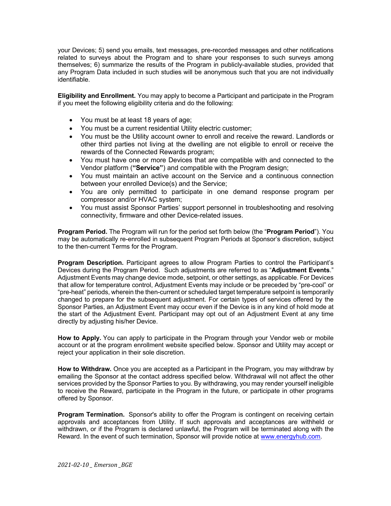your Devices; 5) send you emails, text messages, pre-recorded messages and other notifications related to surveys about the Program and to share your responses to such surveys among themselves; 6) summarize the results of the Program in publicly-available studies, provided that any Program Data included in such studies will be anonymous such that you are not individually identifiable.

**Eligibility and Enrollment.** You may apply to become a Participant and participate in the Program if you meet the following eligibility criteria and do the following:

- You must be at least 18 years of age;
- You must be a current residential Utility electric customer;
- You must be the Utility account owner to enroll and receive the reward. Landlords or other third parties not living at the dwelling are not eligible to enroll or receive the rewards of the Connected Rewards program;
- You must have one or more Devices that are compatible with and connected to the Vendor platform (**"Service"**) and compatible with the Program design;
- You must maintain an active account on the Service and a continuous connection between your enrolled Device(s) and the Service;
- You are only permitted to participate in one demand response program per compressor and/or HVAC system;
- You must assist Sponsor Parties' support personnel in troubleshooting and resolving connectivity, firmware and other Device-related issues.

**Program Period.** The Program will run for the period set forth below (the "**Program Period**"). You may be automatically re-enrolled in subsequent Program Periods at Sponsor's discretion, subject to the then-current Terms for the Program.

**Program Description.** Participant agrees to allow Program Parties to control the Participant's Devices during the Program Period. Such adjustments are referred to as "**Adjustment Events**." Adjustment Events may change device mode, setpoint, or other settings, as applicable. For Devices that allow for temperature control, Adjustment Events may include or be preceded by "pre-cool" or "pre-heat" periods, wherein the then-current or scheduled target temperature setpoint is temporarily changed to prepare for the subsequent adjustment. For certain types of services offered by the Sponsor Parties, an Adjustment Event may occur even if the Device is in any kind of hold mode at the start of the Adjustment Event. Participant may opt out of an Adjustment Event at any time directly by adjusting his/her Device.

**How to Apply.** You can apply to participate in the Program through your Vendor web or mobile account or at the program enrollment website specified below. Sponsor and Utility may accept or reject your application in their sole discretion.

**How to Withdraw.** Once you are accepted as a Participant in the Program, you may withdraw by emailing the Sponsor at the contact address specified below. Withdrawal will not affect the other services provided by the Sponsor Parties to you. By withdrawing, you may render yourself ineligible to receive the Reward, participate in the Program in the future, or participate in other programs offered by Sponsor.

**Program Termination.** Sponsor's ability to offer the Program is contingent on receiving certain approvals and acceptances from Utility. If such approvals and acceptances are withheld or withdrawn, or if the Program is declared unlawful, the Program will be terminated along with the Reward. In the event of such termination, Sponsor will provide notice at www.energyhub.com.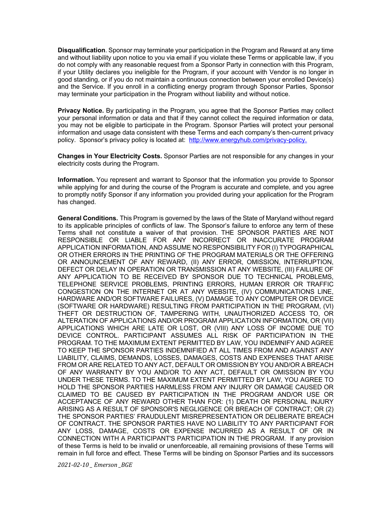**Disqualification**. Sponsor may terminate your participation in the Program and Reward at any time and without liability upon notice to you via email if you violate these Terms or applicable law, if you do not comply with any reasonable request from a Sponsor Party in connection with this Program, if your Utility declares you ineligible for the Program, if your account with Vendor is no longer in good standing, or if you do not maintain a continuous connection between your enrolled Device(s) and the Service. If you enroll in a conflicting energy program through Sponsor Parties, Sponsor may terminate your participation in the Program without liability and without notice.

**Privacy Notice.** By participating in the Program, you agree that the Sponsor Parties may collect your personal information or data and that if they cannot collect the required information or data, you may not be eligible to participate in the Program. Sponsor Parties will protect your personal information and usage data consistent with these Terms and each company's then-current privacy policy. Sponsor's privacy policy is located at: http://www.energyhub.com/privacy-policy.

**Changes in Your Electricity Costs.** Sponsor Parties are not responsible for any changes in your electricity costs during the Program.

**Information.** You represent and warrant to Sponsor that the information you provide to Sponsor while applying for and during the course of the Program is accurate and complete, and you agree to promptly notify Sponsor if any information you provided during your application for the Program has changed.

**General Conditions.** This Program is governed by the laws of the State of Maryland without regard to its applicable principles of conflicts of law. The Sponsor's failure to enforce any term of these Terms shall not constitute a waiver of that provision. THE SPONSOR PARTIES ARE NOT RESPONSIBLE OR LIABLE FOR ANY INCORRECT OR INACCURATE PROGRAM APPLICATION INFORMATION, AND ASSUME NO RESPONSIBILITY FOR (I) TYPOGRAPHICAL OR OTHER ERRORS IN THE PRINTING OF THE PROGRAM MATERIALS OR THE OFFERING OR ANNOUNCEMENT OF ANY REWARD, (II) ANY ERROR, OMISSION, INTERRUPTION, DEFECT OR DELAY IN OPERATION OR TRANSMISSION AT ANY WEBSITE, (III) FAILURE OF ANY APPLICATION TO BE RECEIVED BY SPONSOR DUE TO TECHNICAL PROBLEMS, TELEPHONE SERVICE PROBLEMS, PRINTING ERRORS, HUMAN ERROR OR TRAFFIC CONGESTION ON THE INTERNET OR AT ANY WEBSITE, (IV) COMMUNICATIONS LINE, HARDWARE AND/OR SOFTWARE FAILURES, (V) DAMAGE TO ANY COMPUTER OR DEVICE (SOFTWARE OR HARDWARE) RESULTING FROM PARTICIPATION IN THE PROGRAM, (VI) THEFT OR DESTRUCTION OF, TAMPERING WITH, UNAUTHORIZED ACCESS TO, OR ALTERATION OF APPLICATIONS AND/OR PROGRAM APPLICATION INFORMATION, OR (VII) APPLICATIONS WHICH ARE LATE OR LOST, OR (VIII) ANY LOSS OF INCOME DUE TO DEVICE CONTROL. PARTICIPANT ASSUMES ALL RISK OF PARTICIPATION IN THE PROGRAM. TO THE MAXIMUM EXTENT PERMITTED BY LAW, YOU INDEMNIFY AND AGREE TO KEEP THE SPONSOR PARTIES INDEMNIFIED AT ALL TIMES FROM AND AGAINST ANY LIABILITY, CLAIMS, DEMANDS, LOSSES, DAMAGES, COSTS AND EXPENSES THAT ARISE FROM OR ARE RELATED TO ANY ACT, DEFAULT OR OMISSION BY YOU AND/OR A BREACH OF ANY WARRANTY BY YOU AND/OR TO ANY ACT, DEFAULT OR OMISSION BY YOU UNDER THESE TERMS. TO THE MAXIMUM EXTENT PERMITTED BY LAW, YOU AGREE TO HOLD THE SPONSOR PARTIES HARMLESS FROM ANY INJURY OR DAMAGE CAUSED OR CLAIMED TO BE CAUSED BY PARTICIPATION IN THE PROGRAM AND/OR USE OR ACCEPTANCE OF ANY REWARD OTHER THAN FOR: (1) DEATH OR PERSONAL INJURY ARISING AS A RESULT OF SPONSOR'S NEGLIGENCE OR BREACH OF CONTRACT; OR (2) THE SPONSOR PARTIES' FRAUDULENT MISREPRESENTATION OR DELIBERATE BREACH OF CONTRACT. THE SPONSOR PARTIES HAVE NO LIABILITY TO ANY PARTICIPANT FOR ANY LOSS, DAMAGE, COSTS OR EXPENSE INCURRED AS A RESULT OF OR IN CONNECTION WITH A PARTICIPANT'S PARTICIPATION IN THE PROGRAM. If any provision of these Terms is held to be invalid or unenforceable, all remaining provisions of these Terms will remain in full force and effect. These Terms will be binding on Sponsor Parties and its successors

*2021-02-10 \_ Emerson \_BGE*